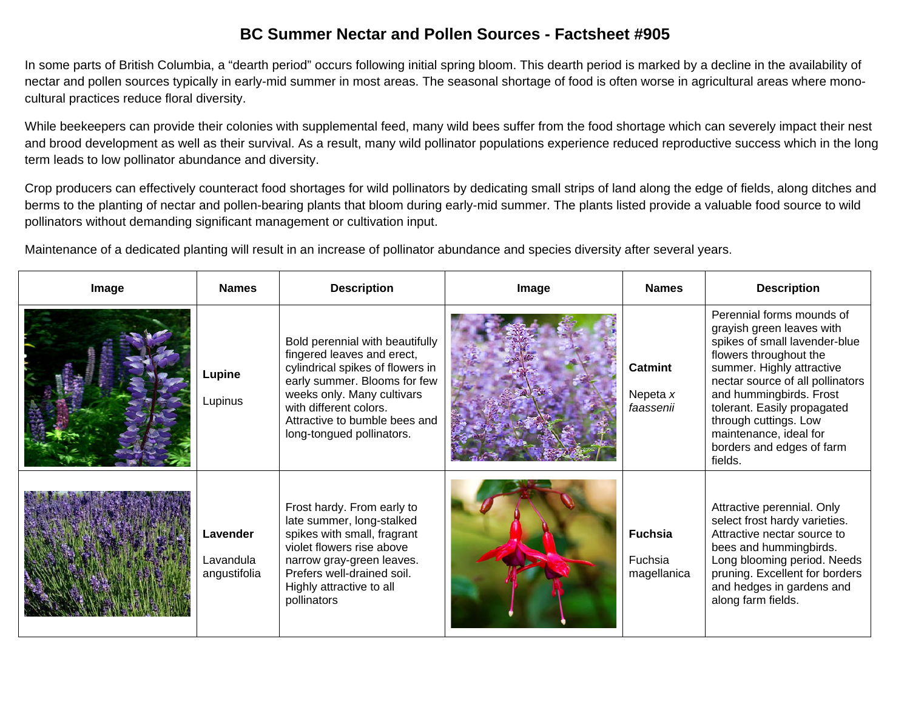## **BC Summer Nectar and Pollen Sources - Factsheet #905**

In some parts of British Columbia, a "dearth period" occurs following initial spring bloom. This dearth period is marked by a decline in the availability of nectar and pollen sources typically in early-mid summer in most areas. The seasonal shortage of food is often worse in agricultural areas where monocultural practices reduce floral diversity.

While beekeepers can provide their colonies with supplemental feed, many wild bees suffer from the food shortage which can severely impact their nest and brood development as well as their survival. As a result, many wild pollinator populations experience reduced reproductive success which in the long term leads to low pollinator abundance and diversity.

Crop producers can effectively counteract food shortages for wild pollinators by dedicating small strips of land along the edge of fields, along ditches and berms to the planting of nectar and pollen-bearing plants that bloom during early-mid summer. The plants listed provide a valuable food source to wild pollinators without demanding significant management or cultivation input.

Maintenance of a dedicated planting will result in an increase of pollinator abundance and species diversity after several year s.

| Image | <b>Names</b>                          | <b>Description</b>                                                                                                                                                                                                                                      | Image | <b>Names</b>                             | <b>Description</b>                                                                                                                                                                                                                                                                                                                      |
|-------|---------------------------------------|---------------------------------------------------------------------------------------------------------------------------------------------------------------------------------------------------------------------------------------------------------|-------|------------------------------------------|-----------------------------------------------------------------------------------------------------------------------------------------------------------------------------------------------------------------------------------------------------------------------------------------------------------------------------------------|
|       | Lupine<br>Lupinus                     | Bold perennial with beautifully<br>fingered leaves and erect,<br>cylindrical spikes of flowers in<br>early summer. Blooms for few<br>weeks only. Many cultivars<br>with different colors.<br>Attractive to bumble bees and<br>long-tongued pollinators. |       | <b>Catmint</b><br>Nepeta x<br>faassenii  | Perennial forms mounds of<br>grayish green leaves with<br>spikes of small lavender-blue<br>flowers throughout the<br>summer. Highly attractive<br>nectar source of all pollinators<br>and hummingbirds. Frost<br>tolerant. Easily propagated<br>through cuttings. Low<br>maintenance, ideal for<br>borders and edges of farm<br>fields. |
|       | Lavender<br>Lavandula<br>angustifolia | Frost hardy. From early to<br>late summer, long-stalked<br>spikes with small, fragrant<br>violet flowers rise above<br>narrow gray-green leaves.<br>Prefers well-drained soil.<br>Highly attractive to all<br>pollinators                               |       | <b>Fuchsia</b><br>Fuchsia<br>magellanica | Attractive perennial. Only<br>select frost hardy varieties.<br>Attractive nectar source to<br>bees and hummingbirds.<br>Long blooming period. Needs<br>pruning. Excellent for borders<br>and hedges in gardens and<br>along farm fields.                                                                                                |